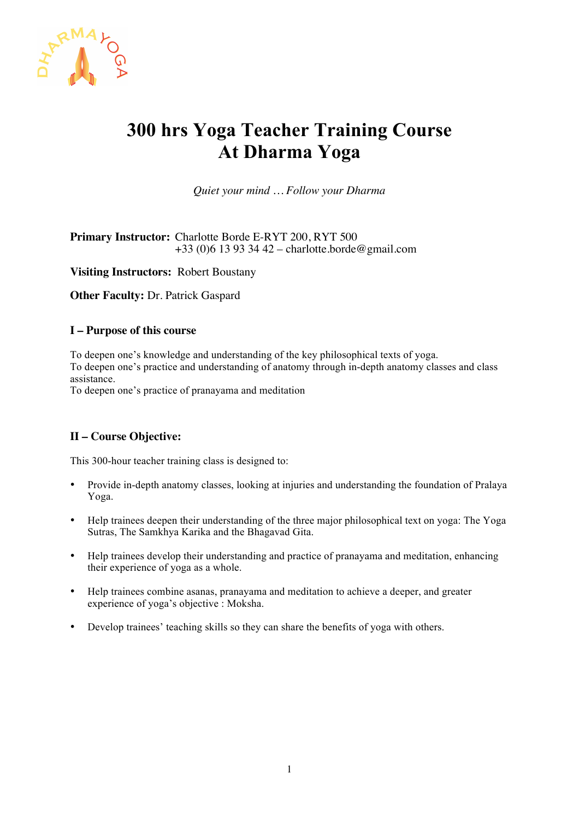

# **300 hrs Yoga Teacher Training Course At Dharma Yoga**

*Quiet your mind … Follow your Dharma*

**Primary Instructor:** Charlotte Borde E-RYT 200, RYT 500 +33 (0)6 13 93 34 42 – charlotte.borde@gmail.com

**Visiting Instructors:** Robert Boustany

**Other Faculty:** Dr. Patrick Gaspard

## **I – Purpose of this course**

To deepen one's knowledge and understanding of the key philosophical texts of yoga. To deepen one's practice and understanding of anatomy through in-depth anatomy classes and class assistance.

To deepen one's practice of pranayama and meditation

# **II – Course Objective:**

This 300-hour teacher training class is designed to:

- Provide in-depth anatomy classes, looking at injuries and understanding the foundation of Pralaya Yoga.
- Help trainees deepen their understanding of the three major philosophical text on yoga: The Yoga Sutras, The Samkhya Karika and the Bhagavad Gita.
- Help trainees develop their understanding and practice of pranayama and meditation, enhancing their experience of yoga as a whole.
- Help trainees combine asanas, pranayama and meditation to achieve a deeper, and greater experience of yoga's objective : Moksha.
- Develop trainees' teaching skills so they can share the benefits of yoga with others.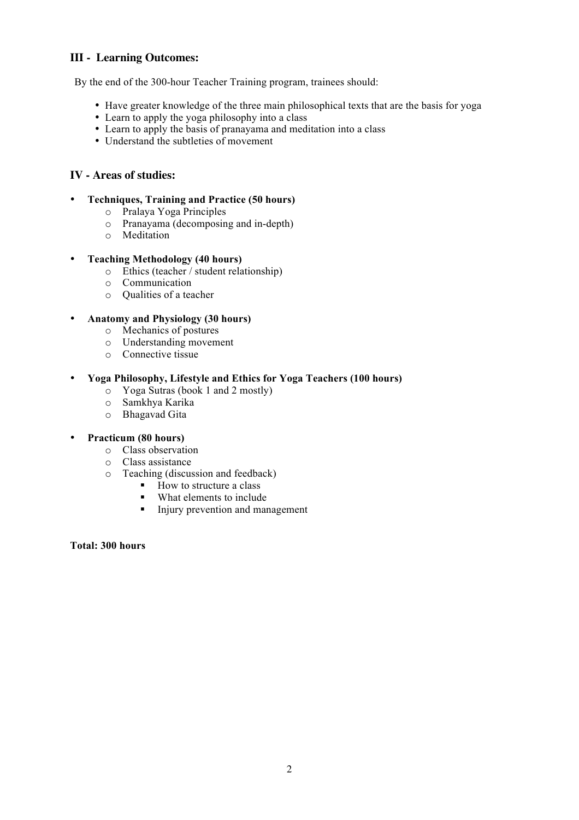# **III - Learning Outcomes:**

By the end of the 300-hour Teacher Training program, trainees should:

- Have greater knowledge of the three main philosophical texts that are the basis for yoga
- Learn to apply the yoga philosophy into a class
- Learn to apply the basis of pranayama and meditation into a class
- Understand the subtleties of movement

# **IV - Areas of studies:**

- **Techniques, Training and Practice (50 hours)**
	- o Pralaya Yoga Principles
	- Pranayama (decomposing and in-depth)
	- o Meditation
- **Teaching Methodology (40 hours)**
	- o Ethics (teacher / student relationship)
	- o Communication
	- o Qualities of a teacher

## • **Anatomy and Physiology (30 hours)**

- o Mechanics of postures
- o Understanding movement
- o Connective tissue

## • **Yoga Philosophy, Lifestyle and Ethics for Yoga Teachers (100 hours)**

- o Yoga Sutras (book 1 and 2 mostly)
- o Samkhya Karika
- o Bhagavad Gita

# • **Practicum (80 hours)**

- o Class observation
- o Class assistance
- o Teaching (discussion and feedback)
	- How to structure a class
	- What elements to include<br>• Injury prevention and man
	- ! Injury prevention and management

#### **Total: 300 hours**